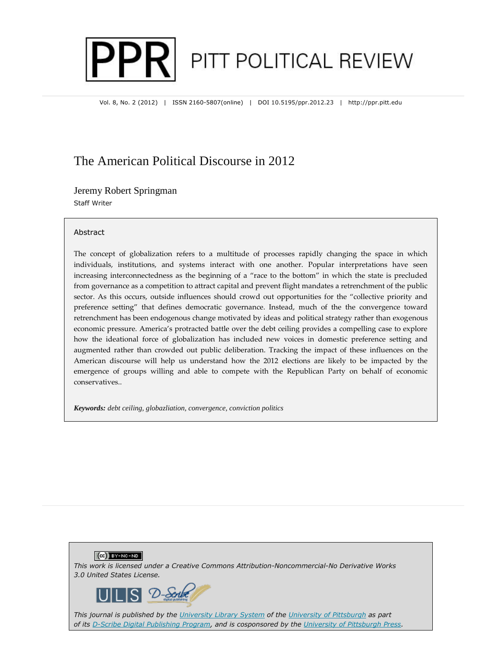# PITT POLITICAL REVIEW

Vol. 8, No. 2 (2012) | ISSN 2160-5807(online) | DOI 10.5195/ppr.2012.23 | http://ppr.pitt.edu

# The American Political Discourse in 2012

Jeremy Robert Springman Staff Writer

#### **Abstract**

The concept of globalization refers to a multitude of processes rapidly changing the space in which individuals, institutions, and systems interact with one another. Popular interpretations have seen increasing interconnectedness as the beginning of a "race to the bottom" in which the state is precluded from governance as a competition to attract capital and prevent flight mandates a retrenchment of the public sector. As this occurs, outside influences should crowd out opportunities for the "collective priority and preference setting" that defines democratic governance. Instead, much of the the convergence toward retrenchment has been endogenous change motivated by ideas and political strategy rather than exogenous economic pressure. America's protracted battle over the debt ceiling provides a compelling case to explore how the ideational force of globalization has included new voices in domestic preference setting and augmented rather than crowded out public deliberation. Tracking the impact of these influences on the American discourse will help us understand how the 2012 elections are likely to be impacted by the emergence of groups willing and able to compete with the Republican Party on behalf of economic conservatives..

*Keywords: debt ceiling, globazliation, convergence, conviction politics*





*This journal is published by the University Library System of the University of Pittsburgh as part of its D-Scribe Digital Publishing Program, and is cosponsored by the University of Pittsburgh Press.*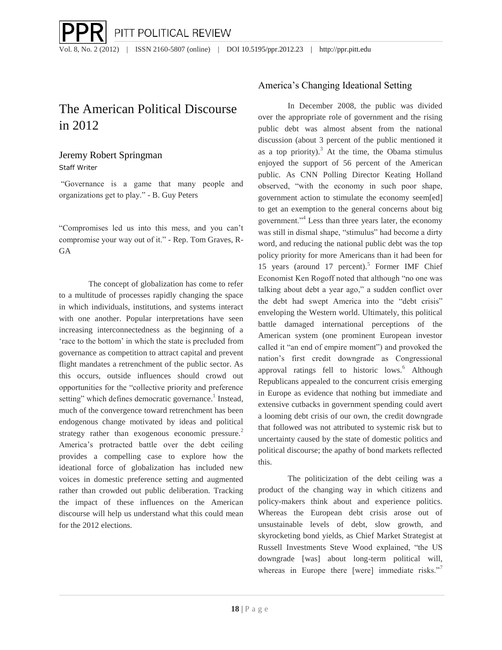# The American Political Discourse in 2012

# Jeremy Robert Springman

Staff Writer

"Governance is a game that many people and organizations get to play." - B. Guy Peters

"Compromises led us into this mess, and you can't compromise your way out of it." - Rep. Tom Graves, R-GA

The concept of globalization has come to refer to a multitude of processes rapidly changing the space in which individuals, institutions, and systems interact with one another. Popular interpretations have seen increasing interconnectedness as the beginning of a 'race to the bottom' in which the state is precluded from governance as competition to attract capital and prevent flight mandates a retrenchment of the public sector. As this occurs, outside influences should crowd out opportunities for the "collective priority and preference setting" which defines democratic governance.<sup>1</sup> Instead, much of the convergence toward retrenchment has been endogenous change motivated by ideas and political strategy rather than exogenous economic pressure.<sup>2</sup> America's protracted battle over the debt ceiling provides a compelling case to explore how the ideational force of globalization has included new voices in domestic preference setting and augmented rather than crowded out public deliberation. Tracking the impact of these influences on the American discourse will help us understand what this could mean for the 2012 elections.

# America's Changing Ideational Setting

In December 2008, the public was divided over the appropriate role of government and the rising public debt was almost absent from the national discussion (about 3 percent of the public mentioned it as a top priority). $3$  At the time, the Obama stimulus enjoyed the support of 56 percent of the American public. As CNN Polling Director Keating Holland observed, "with the economy in such poor shape, government action to stimulate the economy seem[ed] to get an exemption to the general concerns about big government."<sup>4</sup> Less than three years later, the economy was still in dismal shape, "stimulus" had become a dirty word, and reducing the national public debt was the top policy priority for more Americans than it had been for 15 years (around 17 percent).<sup>5</sup> Former IMF Chief Economist Ken Rogoff noted that although "no one was talking about debt a year ago," a sudden conflict over the debt had swept America into the "debt crisis" enveloping the Western world. Ultimately, this political battle damaged international perceptions of the American system (one prominent European investor called it "an end of empire moment") and provoked the nation's first credit downgrade as Congressional approval ratings fell to historic lows.<sup>6</sup> Although Republicans appealed to the concurrent crisis emerging in Europe as evidence that nothing but immediate and extensive cutbacks in government spending could avert a looming debt crisis of our own, the credit downgrade that followed was not attributed to systemic risk but to uncertainty caused by the state of domestic politics and political discourse; the apathy of bond markets reflected this.

The politicization of the debt ceiling was a product of the changing way in which citizens and policy-makers think about and experience politics. Whereas the European debt crisis arose out of unsustainable levels of debt, slow growth, and skyrocketing bond yields, as Chief Market Strategist at Russell Investments Steve Wood explained, "the US downgrade [was] about long-term political will, whereas in Europe there [were] immediate risks."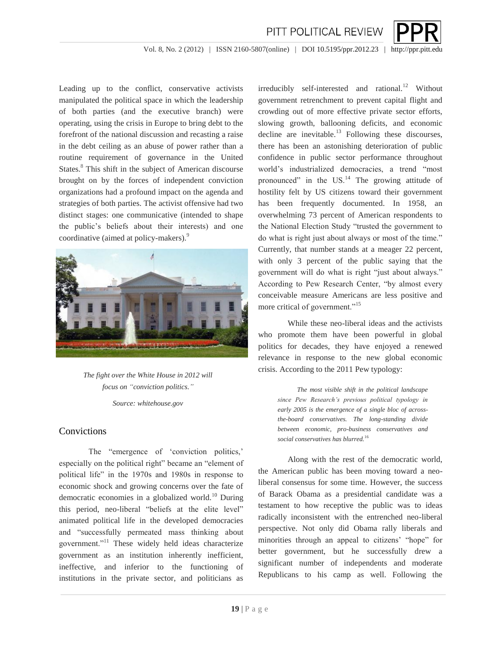

PITT POLITICAL REVIEW

Leading up to the conflict, conservative activists manipulated the political space in which the leadership of both parties (and the executive branch) were operating, using the crisis in Europe to bring debt to the forefront of the national discussion and recasting a raise in the debt ceiling as an abuse of power rather than a routine requirement of governance in the United States.<sup>8</sup> This shift in the subject of American discourse brought on by the forces of independent conviction organizations had a profound impact on the agenda and strategies of both parties. The activist offensive had two distinct stages: one communicative (intended to shape the public's beliefs about their interests) and one coordinative (aimed at policy-makers).<sup>9</sup>



*The fight over the White House in 2012 will focus on "conviction politics."*

*Source: whitehouse.gov*

#### **Convictions**

The "emergence of 'conviction politics,' especially on the political right" became an "element of political life" in the 1970s and 1980s in response to economic shock and growing concerns over the fate of democratic economies in a globalized world.<sup>10</sup> During this period, neo-liberal "beliefs at the elite level" animated political life in the developed democracies and "successfully permeated mass thinking about government."<sup>11</sup> These widely held ideas characterize government as an institution inherently inefficient, ineffective, and inferior to the functioning of institutions in the private sector, and politicians as

irreducibly self-interested and rational.<sup>12</sup> Without government retrenchment to prevent capital flight and crowding out of more effective private sector efforts, slowing growth, ballooning deficits, and economic decline are inevitable.<sup>13</sup> Following these discourses, there has been an astonishing deterioration of public confidence in public sector performance throughout world's industrialized democracies, a trend "most pronounced" in the  $US<sup>14</sup>$  The growing attitude of hostility felt by US citizens toward their government has been frequently documented. In 1958, an overwhelming 73 percent of American respondents to the National Election Study "trusted the government to do what is right just about always or most of the time." Currently, that number stands at a meager 22 percent, with only 3 percent of the public saying that the government will do what is right "just about always." According to Pew Research Center, "by almost every conceivable measure Americans are less positive and more critical of government."<sup>15</sup>

While these neo-liberal ideas and the activists who promote them have been powerful in global politics for decades, they have enjoyed a renewed relevance in response to the new global economic crisis. According to the 2011 Pew typology:

> *The most visible shift in the political landscape since Pew Research's previous political typology in early 2005 is the emergence of a single bloc of acrossthe-board conservatives. The long-standing divide between economic, pro-business conservatives and social conservatives has blurred.*<sup>16</sup>

Along with the rest of the democratic world, the American public has been moving toward a neoliberal consensus for some time. However, the success of Barack Obama as a presidential candidate was a testament to how receptive the public was to ideas radically inconsistent with the entrenched neo-liberal perspective. Not only did Obama rally liberals and minorities through an appeal to citizens' "hope" for better government, but he successfully drew a significant number of independents and moderate Republicans to his camp as well. Following the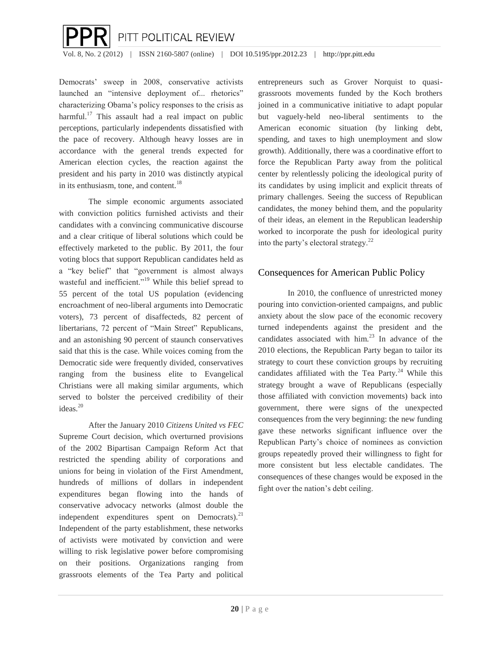

Democrats' sweep in 2008, conservative activists launched an "intensive deployment of... rhetorics" characterizing Obama's policy responses to the crisis as harmful.<sup>17</sup> This assault had a real impact on public perceptions, particularly independents dissatisfied with the pace of recovery. Although heavy losses are in accordance with the general trends expected for American election cycles, the reaction against the president and his party in 2010 was distinctly atypical in its enthusiasm, tone, and content. $18$ 

The simple economic arguments associated with conviction politics furnished activists and their candidates with a convincing communicative discourse and a clear critique of liberal solutions which could be effectively marketed to the public. By 2011, the four voting blocs that support Republican candidates held as a "key belief" that "government is almost always wasteful and inefficient."<sup>19</sup> While this belief spread to 55 percent of the total US population (evidencing encroachment of neo-liberal arguments into Democratic voters), 73 percent of disaffecteds, 82 percent of libertarians, 72 percent of "Main Street" Republicans, and an astonishing 90 percent of staunch conservatives said that this is the case. While voices coming from the Democratic side were frequently divided, conservatives ranging from the business elite to Evangelical Christians were all making similar arguments, which served to bolster the perceived credibility of their ideas $^{20}$ 

After the January 2010 *Citizens United vs FEC* Supreme Court decision, which overturned provisions of the 2002 Bipartisan Campaign Reform Act that restricted the spending ability of corporations and unions for being in violation of the First Amendment, hundreds of millions of dollars in independent expenditures began flowing into the hands of conservative advocacy networks (almost double the independent expenditures spent on Democrats). $^{21}$ Independent of the party establishment, these networks of activists were motivated by conviction and were willing to risk legislative power before compromising on their positions. Organizations ranging from grassroots elements of the Tea Party and political

entrepreneurs such as Grover Norquist to quasigrassroots movements funded by the Koch brothers joined in a communicative initiative to adapt popular but vaguely-held neo-liberal sentiments to the American economic situation (by linking debt, spending, and taxes to high unemployment and slow growth). Additionally, there was a coordinative effort to force the Republican Party away from the political center by relentlessly policing the ideological purity of its candidates by using implicit and explicit threats of primary challenges. Seeing the success of Republican candidates, the money behind them, and the popularity of their ideas, an element in the Republican leadership worked to incorporate the push for ideological purity into the party's electoral strategy. $^{22}$ 

## Consequences for American Public Policy

In 2010, the confluence of unrestricted money pouring into conviction-oriented campaigns, and public anxiety about the slow pace of the economic recovery turned independents against the president and the candidates associated with him. $^{23}$  In advance of the 2010 elections, the Republican Party began to tailor its strategy to court these conviction groups by recruiting candidates affiliated with the Tea Party. $24$  While this strategy brought a wave of Republicans (especially those affiliated with conviction movements) back into government, there were signs of the unexpected consequences from the very beginning: the new funding gave these networks significant influence over the Republican Party's choice of nominees as conviction groups repeatedly proved their willingness to fight for more consistent but less electable candidates. The consequences of these changes would be exposed in the fight over the nation's debt ceiling.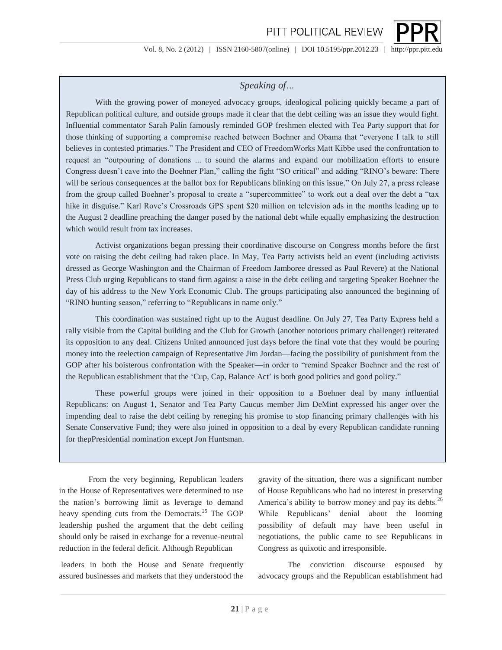# *Speaking of…*

With the growing power of moneyed advocacy groups, ideological policing quickly became a part of Republican political culture, and outside groups made it clear that the debt ceiling was an issue they would fight. Influential commentator Sarah Palin famously reminded GOP freshmen elected with Tea Party support that for those thinking of supporting a compromise reached between Boehner and Obama that "everyone I talk to still believes in contested primaries." The President and CEO of FreedomWorks Matt Kibbe used the confrontation to request an "outpouring of donations ... to sound the alarms and expand our mobilization efforts to ensure Congress doesn't cave into the Boehner Plan," calling the fight "SO critical" and adding "RINO's beware: There will be serious consequences at the ballot box for Republicans blinking on this issue." On July 27, a press release from the group called Boehner's proposal to create a "supercommittee" to work out a deal over the debt a "tax hike in disguise." Karl Rove's Crossroads GPS spent \$20 million on television ads in the months leading up to the August 2 deadline preaching the danger posed by the national debt while equally emphasizing the destruction which would result from tax increases.

Activist organizations began pressing their coordinative discourse on Congress months before the first vote on raising the debt ceiling had taken place. In May, Tea Party activists held an event (including activists dressed as George Washington and the Chairman of Freedom Jamboree dressed as Paul Revere) at the National Press Club urging Republicans to stand firm against a raise in the debt ceiling and targeting Speaker Boehner the day of his address to the New York Economic Club. The groups participating also announced the beginning of "RINO hunting season," referring to "Republicans in name only."

This coordination was sustained right up to the August deadline. On July 27, Tea Party Express held a rally visible from the Capital building and the Club for Growth (another notorious primary challenger) reiterated its opposition to any deal. Citizens United announced just days before the final vote that they would be pouring money into the reelection campaign of Representative Jim Jordan—facing the possibility of punishment from the GOP after his boisterous confrontation with the Speaker—in order to "remind Speaker Boehner and the rest of the Republican establishment that the 'Cup, Cap, Balance Act' is both good politics and good policy."

These powerful groups were joined in their opposition to a Boehner deal by many influential Republicans: on August 1, Senator and Tea Party Caucus member Jim DeMint expressed his anger over the impending deal to raise the debt ceiling by reneging his promise to stop financing primary challenges with his Senate Conservative Fund; they were also joined in opposition to a deal by every Republican candidate running for thepPresidential nomination except Jon Huntsman.

From the very beginning, Republican leaders in the House of Representatives were determined to use the nation's borrowing limit as leverage to demand heavy spending cuts from the Democrats.<sup>25</sup> The GOP leadership pushed the argument that the debt ceiling should only be raised in exchange for a revenue-neutral reduction in the federal deficit. Although Republican

leaders in both the House and Senate frequently assured businesses and markets that they understood the

gravity of the situation, there was a significant number of House Republicans who had no interest in preserving America's ability to borrow money and pay its debts.<sup>26</sup> While Republicans' denial about the looming possibility of default may have been useful in negotiations, the public came to see Republicans in Congress as quixotic and irresponsible.

The conviction discourse espoused by advocacy groups and the Republican establishment had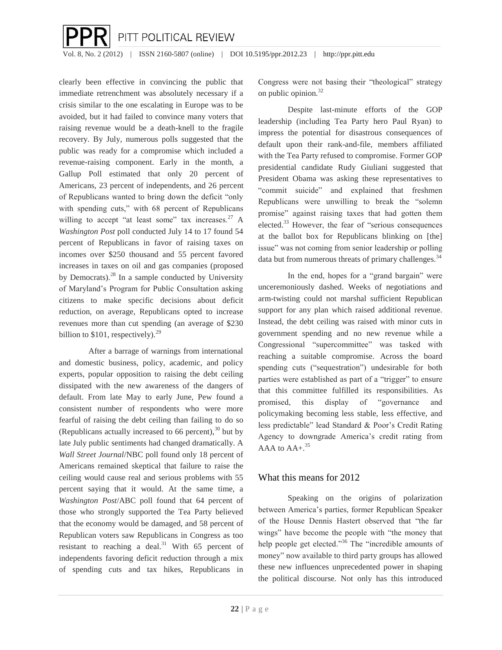$\overline{\phantom{a}}$ PITT POLITICAL REVIEW

Vol. 8, No. 2 (2012) | ISSN 2160-5807 (online) | DOI 10.5195/ppr.2012.23 | http://ppr.pitt.edu

clearly been effective in convincing the public that immediate retrenchment was absolutely necessary if a crisis similar to the one escalating in Europe was to be avoided, but it had failed to convince many voters that raising revenue would be a death-knell to the fragile recovery. By July, numerous polls suggested that the public was ready for a compromise which included a revenue-raising component. Early in the month, a Gallup Poll estimated that only 20 percent of Americans, 23 percent of independents, and 26 percent of Republicans wanted to bring down the deficit "only with spending cuts," with 68 percent of Republicans willing to accept "at least some" tax increases. $27$  A *Washington Post* poll conducted July 14 to 17 found 54 percent of Republicans in favor of raising taxes on incomes over \$250 thousand and 55 percent favored increases in taxes on oil and gas companies (proposed by Democrats). $^{28}$  In a sample conducted by University of Maryland's Program for Public Consultation asking citizens to make specific decisions about deficit reduction, on average, Republicans opted to increase revenues more than cut spending (an average of \$230 billion to  $$101$ , respectively).<sup>29</sup>

After a barrage of warnings from international and domestic business, policy, academic, and policy experts, popular opposition to raising the debt ceiling dissipated with the new awareness of the dangers of default. From late May to early June, Pew found a consistent number of respondents who were more fearful of raising the debt ceiling than failing to do so (Republicans actually increased to 66 percent), $30$  but by late July public sentiments had changed dramatically. A *Wall Street Journal*/NBC poll found only 18 percent of Americans remained skeptical that failure to raise the ceiling would cause real and serious problems with 55 percent saying that it would. At the same time, a *Washington Post*/ABC poll found that 64 percent of those who strongly supported the Tea Party believed that the economy would be damaged, and 58 percent of Republican voters saw Republicans in Congress as too resistant to reaching a deal.<sup>31</sup> With 65 percent of independents favoring deficit reduction through a mix of spending cuts and tax hikes, Republicans in

Congress were not basing their "theological" strategy on public opinion.<sup>32</sup>

Despite last-minute efforts of the GOP leadership (including Tea Party hero Paul Ryan) to impress the potential for disastrous consequences of default upon their rank-and-file, members affiliated with the Tea Party refused to compromise. Former GOP presidential candidate Rudy Giuliani suggested that President Obama was asking these representatives to "commit suicide" and explained that freshmen Republicans were unwilling to break the "solemn promise" against raising taxes that had gotten them elected.<sup>33</sup> However, the fear of "serious consequences at the ballot box for Republicans blinking on [the] issue" was not coming from senior leadership or polling data but from numerous threats of primary challenges.  $34$ 

In the end, hopes for a "grand bargain" were unceremoniously dashed. Weeks of negotiations and arm-twisting could not marshal sufficient Republican support for any plan which raised additional revenue. Instead, the debt ceiling was raised with minor cuts in government spending and no new revenue while a Congressional "supercommittee" was tasked with reaching a suitable compromise. Across the board spending cuts ("sequestration") undesirable for both parties were established as part of a "trigger" to ensure that this committee fulfilled its responsibilities. As promised, this display of "governance and policymaking becoming less stable, less effective, and less predictable" lead Standard & Poor's Credit Rating Agency to downgrade America's credit rating from AAA to  $AA +$ .<sup>35</sup>

## What this means for 2012

Speaking on the origins of polarization between America's parties, former Republican Speaker of the House Dennis Hastert observed that "the far wings" have become the people with "the money that help people get elected."<sup>36</sup> The "incredible amounts of money" now available to third party groups has allowed these new influences unprecedented power in shaping the political discourse. Not only has this introduced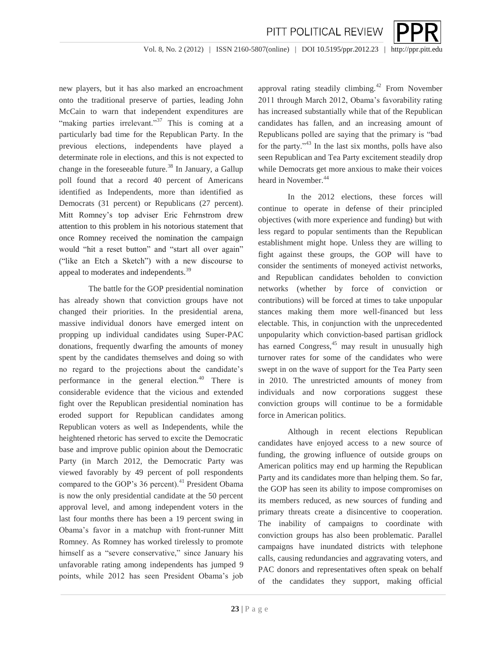

PITT POLITICAL REVIEW

new players, but it has also marked an encroachment onto the traditional preserve of parties, leading John McCain to warn that independent expenditures are "making parties irrelevant."<sup>37</sup> This is coming at a particularly bad time for the Republican Party. In the previous elections, independents have played a determinate role in elections, and this is not expected to change in the foreseeable future.<sup>38</sup> In January, a Gallup poll found that a record 40 percent of Americans identified as Independents, more than identified as Democrats (31 percent) or Republicans (27 percent). Mitt Romney's top adviser Eric Fehrnstrom drew attention to this problem in his notorious statement that once Romney received the nomination the campaign would "hit a reset button" and "start all over again" ("like an Etch a Sketch") with a new discourse to appeal to moderates and independents.<sup>39</sup>

The battle for the GOP presidential nomination has already shown that conviction groups have not changed their priorities. In the presidential arena, massive individual donors have emerged intent on propping up individual candidates using Super-PAC donations, frequently dwarfing the amounts of money spent by the candidates themselves and doing so with no regard to the projections about the candidate's performance in the general election.<sup>40</sup> There is considerable evidence that the vicious and extended fight over the Republican presidential nomination has eroded support for Republican candidates among Republican voters as well as Independents, while the heightened rhetoric has served to excite the Democratic base and improve public opinion about the Democratic Party (in March 2012, the Democratic Party was viewed favorably by 49 percent of poll respondents compared to the GOP's  $36$  percent).<sup>41</sup> President Obama is now the only presidential candidate at the 50 percent approval level, and among independent voters in the last four months there has been a 19 percent swing in Obama's favor in a matchup with front-runner Mitt Romney. As Romney has worked tirelessly to promote himself as a "severe conservative," since January his unfavorable rating among independents has jumped 9 points, while 2012 has seen President Obama's job

approval rating steadily climbing. $42$  From November 2011 through March 2012, Obama's favorability rating has increased substantially while that of the Republican candidates has fallen, and an increasing amount of Republicans polled are saying that the primary is "bad for the party."<sup>43</sup> In the last six months, polls have also seen Republican and Tea Party excitement steadily drop while Democrats get more anxious to make their voices heard in November.<sup>44</sup>

In the 2012 elections, these forces will continue to operate in defense of their principled objectives (with more experience and funding) but with less regard to popular sentiments than the Republican establishment might hope. Unless they are willing to fight against these groups, the GOP will have to consider the sentiments of moneyed activist networks, and Republican candidates beholden to conviction networks (whether by force of conviction or contributions) will be forced at times to take unpopular stances making them more well-financed but less electable. This, in conjunction with the unprecedented unpopularity which conviction-based partisan gridlock has earned Congress, $45$  may result in unusually high turnover rates for some of the candidates who were swept in on the wave of support for the Tea Party seen in 2010. The unrestricted amounts of money from individuals and now corporations suggest these conviction groups will continue to be a formidable force in American politics.

Although in recent elections Republican candidates have enjoyed access to a new source of funding, the growing influence of outside groups on American politics may end up harming the Republican Party and its candidates more than helping them. So far, the GOP has seen its ability to impose compromises on its members reduced, as new sources of funding and primary threats create a disincentive to cooperation. The inability of campaigns to coordinate with conviction groups has also been problematic. Parallel campaigns have inundated districts with telephone calls, causing redundancies and aggravating voters, and PAC donors and representatives often speak on behalf of the candidates they support, making official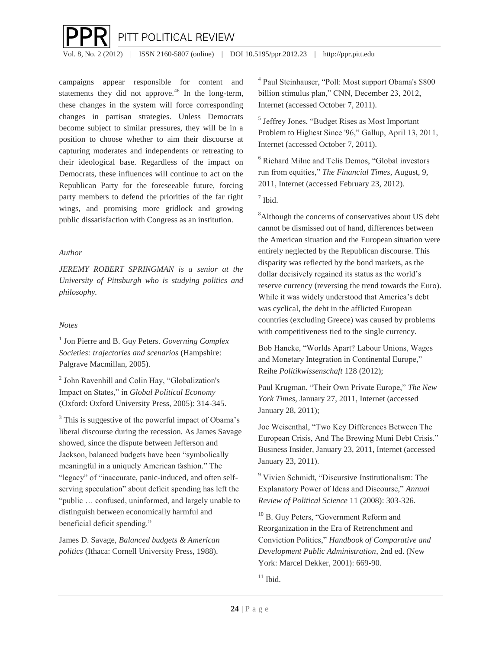

campaigns appear responsible for content and statements they did not approve. $46$  In the long-term, these changes in the system will force corresponding changes in partisan strategies. Unless Democrats become subject to similar pressures, they will be in a position to choose whether to aim their discourse at capturing moderates and independents or retreating to their ideological base. Regardless of the impact on Democrats, these influences will continue to act on the Republican Party for the foreseeable future, forcing party members to defend the priorities of the far right wings, and promising more gridlock and growing public dissatisfaction with Congress as an institution.

#### *Author*

*JEREMY ROBERT SPRINGMAN is a senior at the University of Pittsburgh who is studying politics and philosophy.*

### *Notes*

1 Jon Pierre and B. Guy Peters. *Governing Complex Societies: trajectories and scenarios* (Hampshire: Palgrave Macmillan, 2005).

<sup>2</sup> John Ravenhill and Colin Hay, "Globalization's Impact on States," in *Global Political Economy* (Oxford: Oxford University Press, 2005): 314-345.

<sup>3</sup> This is suggestive of the powerful impact of Obama's liberal discourse during the recession. As James Savage showed, since the dispute between Jefferson and Jackson, balanced budgets have been "symbolically meaningful in a uniquely American fashion." The "legacy" of "inaccurate, panic-induced, and often selfserving speculation" about deficit spending has left the "public … confused, uninformed, and largely unable to distinguish between economically harmful and beneficial deficit spending."

James D. Savage, *Balanced budgets & American politics* (Ithaca: Cornell University Press, 1988).

4 Paul Steinhauser, "Poll: Most support Obama's \$800 billion stimulus plan," CNN, December 23, 2012, Internet (accessed October 7, 2011).

5 Jeffrey Jones, "Budget Rises as Most Important Problem to Highest Since '96," Gallup, April 13, 2011, Internet (accessed October 7, 2011).

<sup>6</sup> Richard Milne and Telis Demos, "Global investors run from equities," *The Financial Times*, August, 9, 2011, Internet (accessed February 23, 2012).

7 Ibid.

<sup>8</sup>Although the concerns of conservatives about US debt cannot be dismissed out of hand, differences between the American situation and the European situation were entirely neglected by the Republican discourse. This disparity was reflected by the bond markets, as the dollar decisively regained its status as the world's reserve currency (reversing the trend towards the Euro). While it was widely understood that America's debt was cyclical, the debt in the afflicted European countries (excluding Greece) was caused by problems with competitiveness tied to the single currency.

Bob Hancke, "Worlds Apart? Labour Unions, Wages and Monetary Integration in Continental Europe," Reihe *Politikwissenschaft* 128 (2012);

Paul Krugman, "Their Own Private Europe," *The New York Times*, January 27, 2011, Internet (accessed January 28, 2011);

Joe Weisenthal, "Two Key Differences Between The European Crisis, And The Brewing Muni Debt Crisis." Business Insider, January 23, 2011, Internet (accessed January 23, 2011).

<sup>9</sup> Vivien Schmidt, "Discursive Institutionalism: The Explanatory Power of Ideas and Discourse," *Annual Review of Political Science* 11 (2008): 303-326.

<sup>10</sup> B. Guy Peters, "Government Reform and Reorganization in the Era of Retrenchment and Conviction Politics," *Handbook of Comparative and Development Public Administration*, 2nd ed. (New York: Marcel Dekker, 2001): 669-90.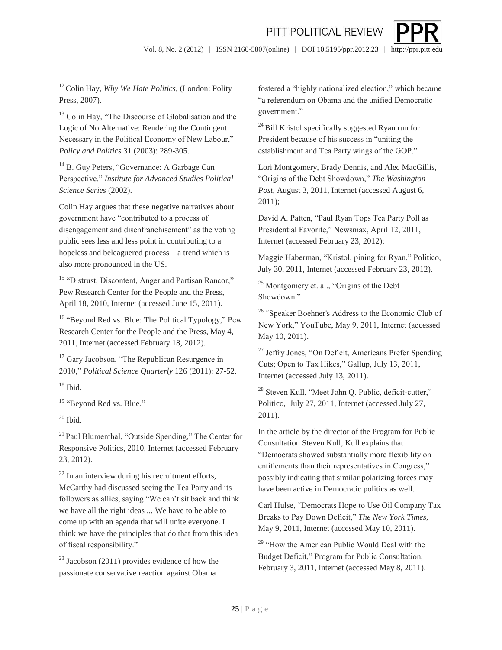

<sup>12</sup> Colin Hay, *Why We Hate Politics*, (London: Polity Press, 2007).

<sup>13</sup> Colin Hay, "The Discourse of Globalisation and the Logic of No Alternative: Rendering the Contingent Necessary in the Political Economy of New Labour," *Policy and Politics* 31 (2003): 289-305.

<sup>14</sup> B. Guy Peters, "Governance: A Garbage Can Perspective." *Institute for Advanced Studies Political Science Series* (2002).

Colin Hay argues that these negative narratives about government have "contributed to a process of disengagement and disenfranchisement" as the voting public sees less and less point in contributing to a hopeless and beleaguered process—a trend which is also more pronounced in the US.

<sup>15</sup> "Distrust, Discontent, Anger and Partisan Rancor," Pew Research Center for the People and the Press, April 18, 2010, Internet (accessed June 15, 2011).

<sup>16</sup> ["Beyond](http://www.politico.com/news/stories/0711/59947.html) [Red](http://www.politico.com/news/stories/0711/59947.html) [vs. Blue: The](http://www.politico.com/news/stories/0711/59947.html) [Political](http://www.politico.com/news/stories/0711/59947.html) [Typology,"](http://www.politico.com/news/stories/0711/59947.html) Pe[w](http://www.politico.com/news/stories/0711/59947.html) [Research](http://www.politico.com/news/stories/0711/59947.html) [Center](http://www.politico.com/news/stories/0711/59947.html) [for](http://www.politico.com/news/stories/0711/59947.html) [the](http://www.politico.com/news/stories/0711/59947.html) [People](http://www.politico.com/news/stories/0711/59947.html) [and](http://www.politico.com/news/stories/0711/59947.html) [the](http://www.politico.com/news/stories/0711/59947.html) [Press, May 4,](http://www.politico.com/news/stories/0711/59947.html)  [2011, Internet](http://www.politico.com/news/stories/0711/59947.html) [\(accessed](http://www.politico.com/news/stories/0711/59947.html) [February](http://www.politico.com/news/stories/0711/59947.html) [18, 2012\).](http://www.politico.com/news/stories/0711/59947.html)

<sup>17</sup> Gary Jacobson, "The Republican Resurgence in 2010," *Political Science Quarterly* 126 (2011): 27-52.

18 Ibid.

<sup>19</sup> ["Beyond](http://www.politico.com/news/stories/0711/59947.html) [Red](http://www.politico.com/news/stories/0711/59947.html) [vs. Blue."](http://www.politico.com/news/stories/0711/59947.html)

 $20$  Ibid.

<sup>21</sup> Paul Blumenthal, "Outside Spending," The Center for Responsive Politics, 2010, Internet (accessed February 23, 2012).

 $22$  In an interview during his recruitment efforts, McCarthy had discussed seeing the Tea Party and its followers as allies, saying "We can't sit back and think we have all the right ideas ... We have to be able to come up with an agenda that will unite everyone. I think we have the principles that do that from this idea of fiscal responsibility."

 $^{23}$  Jacobson (2011) provides evidence of how the passionate conservative reaction against Obama

fostered a "highly nationalized election," which became "a referendum on Obama and the unified Democratic government."

 $^{24}$  Bill Kristol specifically suggested Ryan run for President because of his success in "uniting the establishment and Tea Party wings of the GOP."

Lori Montgomery, Brady Dennis, and Alec MacGillis, "Origins of the Debt Showdown," *The Washington Post*, August 3, 2011, Internet (accessed August 6, 2011);

David A. Patten, "Paul Ryan Tops Tea Party Poll as Presidential Favorite," Newsmax, April 12, 2011, Internet (accessed February 23, 2012)[;](http://www.politico.com/news/stories/0711/60298.html)

Maggie Haberman, "Kristol, pining for Ryan," Politico, July 30, 2011, Internet (accessed February 23, 2012).

<sup>25</sup> Montgomery et. al., "Origins of the Debt Showdown."

<sup>26</sup> "Speaker Boehner's Address to the Economic Club of New York," YouTube, May 9, 2011, Internet (accessed May 10, 2011).

<sup>27</sup> Jeffry Jones, "On Deficit, Americans Prefer Spending Cuts; Open to Tax Hikes," Gallup, July 13, 2011, Internet (accessed July 13, 2011).

<sup>28</sup> Steven Kull, "Meet John Q. Public, deficit-cutter," Politico, July 27, 2011, Internet (accessed July 27, 2011).

In the article by the director of the Program for Public Consultation Steven Kull, Kull explains that "Democrats showed substantially more flexibility on entitlements than their representatives in Congress," possibly indicating that similar polarizing forces may have been active in Democratic politics as well.

Carl Hulse, "Democrats Hope to Use Oil Company Tax Breaks to Pay Down Deficit," *The New York Times*, May 9, 2011, Internet (accessed May 10, 2011).

<sup>29</sup> "How the American Public Would Deal with the Budget Deficit," Program for Public Consultation, February 3, 2011, Internet (accessed May 8, 2011).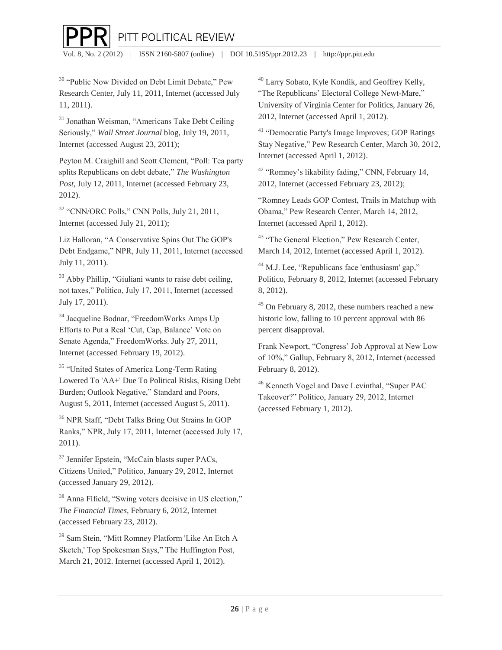PITT POLITICAL REVIEW

Vol. 8, No. 2 (2012) | ISSN 2160-5807 (online) | DOI 10.5195/ppr.2012.23 | http://ppr.pitt.edu

<sup>30</sup> "Public Now Divided on Debt Limit Debate," Pew Research Center, July 11, 2011, Internet (accessed July 11, 2011).

 $\overline{\phantom{a}}$ 

<sup>31</sup> Jonathan Weisman, "Americans Take Debt Ceiling Seriously," *Wall Street Journal* blog, July 19, 2011, Internet (accessed August 23, 2011);

Peyton M. Craighill and Scott Clement, "Poll: Tea party splits Republicans on debt debate," *The Washington Post*, July 12, 2011, Internet (accessed February 23, 2012).

<sup>32</sup> "CNN/ORC Polls," CNN Polls, July 21, 2011, Internet (accessed July 21, 2011);

Liz Halloran, "A Conservative Spins Out The GOP's Debt Endgame," NPR, July 11, 2011, Internet (accessed July 11, 2011).

<sup>33</sup> Abby Phillip, "Giuliani wants to raise debt ceiling, not taxes," Politico, July 17, 2011, Internet (accessed July 17, 2011).

<sup>34</sup> Jacqueline Bodnar, "FreedomWorks Amps Up Efforts to Put a Real 'Cut, Cap, Balance' Vote on Senate Agenda," FreedomWorks. July 27, 2011, Internet (accessed February 19, 2012).

<sup>35</sup> "United States of America Long-Term Rating Lowered To 'AA+' Due To Political Risks, Rising Debt Burden; Outlook Negative," Standard and Poors, August 5, 2011, Internet (accessed August 5, 2011).

<sup>36</sup> NPR Staff, "Debt Talks Bring Out Strains In GOP Ranks," NPR, July 17, 2011, Internet (accessed July 17, 2011).

<sup>37</sup> Jennifer Epstein, "McCain blasts super PACs, Citizens United," Politico, January 29, 2012, Internet (accessed January 29, 2012).

<sup>38</sup> Anna Fifield, "Swing voters decisive in US election," *The Financial Times*, February 6, 2012, Internet (accessed February 23, 2012).

39 Sam Stein, "Mitt Romney Platform 'Like An Etch A Sketch,' Top Spokesman Says," The Huffington Post, March 21, 2012. Internet (accessed April 1, 2012).

<sup>40</sup> Larry Sobato, Kyle Kondik, and Geoffrey Kelly, "The Republicans' Electoral College Newt-Mare," University of Virginia Center for Politics, January 26, 2012, Internet (accessed April 1, 2012).

<sup>41</sup> "Democratic Party's Image Improves; GOP Ratings Stay Negative," Pew Research Center, March 30, 2012, Internet (accessed April 1, 2012).

<sup>42</sup> ["](http://www.npr.org/2011/07/11/137772382/a-conservative-spins-out-the-gops-debt-endgame?ft=1&f=1014)Romney's likability fading," CNN, February 14, 2012, Internet (accessed February 23, 2012);

"Romney Leads GOP Contest, Trails in Matchup with Obama," Pew Research Center, March 14, 2012, Internet (accessed April 1, 2012).

<sup>43</sup> "The General Election," Pew Research Center, March 14, 2012, Internet (accessed April 1, 2012).

<sup>44</sup> [M](http://www.npr.org/2011/07/11/137772382/a-conservative-spins-out-the-gops-debt-endgame?ft=1&f=1014).J. Lee, "Republicans face 'enthusiasm' gap," Politico, February 8, 2012, Internet (accessed February 8, 2012).

<sup>45</sup> On February 8, 2012, these numbers reached a new historic low, falling to 10 percent approval with 86 percent disapproval.

Frank Newport, "Congress' Job Approval at New Low of 10%," Gallup, February 8, 2012, Internet (accessed February 8, 2012).

<sup>46</sup> Kenneth Vogel and Dave Levinthal, "Super PAC Takeover?" Politico, January 29, 2012, Internet (accessed February 1, 2012).